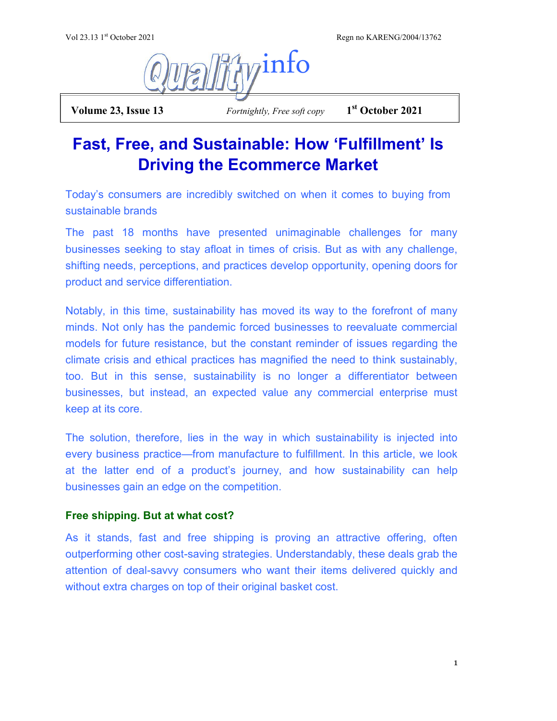Regn no KARENG/2004/13762



 **Volume 23, Issue 13** *Fortnightly, Free soft copy* **1**

**st October 2021**

## **Fast, Free, and Sustainable: How 'Fulfillment' Is Driving the Ecommerce Market**

Today's consumers are incredibly switched on when it comes to buying from sustainable brands

The past 18 months have presented unimaginable challenges for many businesses seeking to stay afloat in times of crisis. But as with any challenge, shifting needs, perceptions, and practices develop opportunity, opening doors for product and service differentiation.

Notably, in this time, sustainability has moved its way to the forefront of many minds. Not only has the pandemic forced businesses to reevaluate commercial models for future resistance, but the constant reminder of issues regarding the climate crisis and ethical practices has magnified the need to think sustainably, too. But in this sense, sustainability is no longer a differentiator between businesses, but instead, an expected value any commercial enterprise must keep at its core.

The solution, therefore, lies in the way in which sustainability is injected into every business practice—from manufacture to fulfillment. In this article, we look at the latter end of a product's journey, and how sustainability can help businesses gain an edge on the competition.

## **Free shipping. But at what cost?**

As it stands, fast and free shipping is proving an attractive offering, often outperforming other cost-saving strategies. Understandably, these deals grab the attention of deal-savvy consumers who want their items delivered quickly and without extra charges on top of their original basket cost.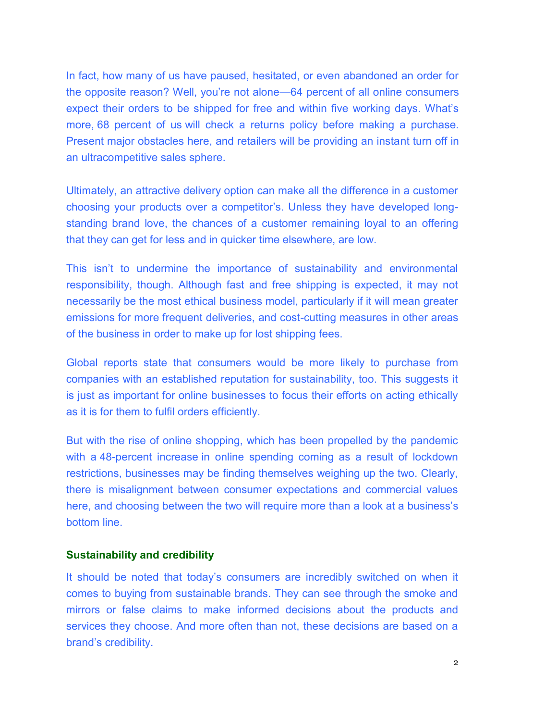In fact, how many of us have paused, hesitated, or even abandoned an order for the opposite reason? Well, you're not alone—[64 percent](https://www.shopify.com/enterprise/the-future-of-ecommerce/shipping-and-logistics) of all online consumers expect their orders to be shipped for free and within five working days. What's more, [68 percent of us](https://solutions.ups.com/rs/935-KKE-240/images/UPS-Pulse-of-the-Online-Shopper-2017-Volume-5_Retail_Fundamentals.pdf) will check a returns policy before making a purchase. Present major obstacles here, and retailers will be providing an instant turn off in an ultracompetitive sales sphere.

Ultimately, an attractive delivery option can make all the difference in a customer choosing your products over a competitor's. Unless they have developed longstanding brand love, the chances of a customer remaining loyal to an offering that they can get for less and in quicker time elsewhere, are low.

This isn't to undermine the importance of sustainability and environmental responsibility, though. Although fast and free shipping is expected, it may not necessarily be the most ethical business model, particularly if it will mean greater emissions for more frequent deliveries, and cost-cutting measures in other areas of the business in order to make up for lost shipping fees.

Global reports state that consumers would be more likely to purchase from companies with an established reputation for sustainability, too. This suggests it is just as important for online businesses to focus their efforts on acting ethically as it is for them to fulfil orders efficiently.

But with the rise of online shopping, which has been propelled by the pandemic with a [48-percent increase](https://www.thisismoney.co.uk/money/bills/article-9664031/Online-shopping-spend-surges-lockdown-Ofcom-data-shows.html) in online spending coming as a result of lockdown restrictions, businesses may be finding themselves weighing up the two. Clearly, there is misalignment between consumer expectations and commercial values here, and choosing between the two will require more than a look at a business's bottom line.

## **Sustainability and credibility**

It should be noted that today's consumers are incredibly switched on when it comes to buying from sustainable brands. They can see through the smoke and mirrors or false claims to make informed decisions about the products and services they choose. And more often than not, these decisions are based on a brand's credibility.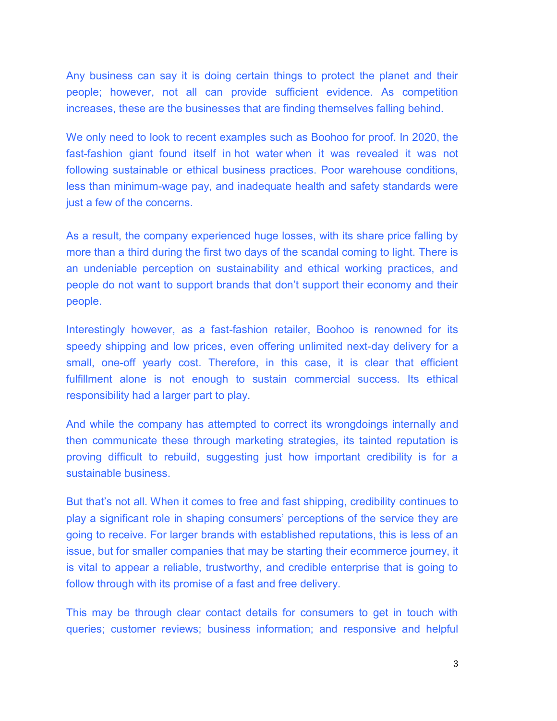Any business can say it is doing certain things to protect the planet and their people; however, not all can provide sufficient evidence. As competition increases, these are the businesses that are finding themselves falling behind.

We only need to look to recent examples such as Boohoo for proof. In 2020, the fast-fashion giant found itself in [hot water](https://www.forbes.com/sites/andrewbusby/2020/07/07/as-slavery-allegations-continue-to-surround-boohoo-why-the-days-of-the-5-dress-are-well-and-truly-over/?sh=6628199259e0) when it was revealed it was not following sustainable or ethical business practices. Poor warehouse conditions, less than minimum-wage pay, and inadequate health and safety standards were just a few of the concerns.

As a result, the company experienced huge losses, with its share price falling by more than a third during the first two days of the scandal coming to light. There is an undeniable perception on sustainability and ethical working practices, and people do not want to support brands that don't support their economy and their people.

Interestingly however, as a fast-fashion retailer, Boohoo is renowned for its speedy shipping and low prices, even offering unlimited next-day delivery for a small, one-off yearly cost. Therefore, in this case, it is clear that efficient fulfillment alone is not enough to sustain commercial success. Its ethical responsibility had a larger part to play.

And while the company has attempted to correct its wrongdoings internally and then communicate these through marketing strategies, its tainted reputation is proving difficult to rebuild, suggesting just how important credibility is for a sustainable business.

But that's not all. When it comes to free and fast shipping, credibility continues to play a significant role in shaping consumers' perceptions of the service they are going to receive. For larger brands with established reputations, this is less of an issue, but for smaller companies that may be starting their ecommerce journey, it is vital to appear a reliable, trustworthy, and credible enterprise that is going to follow through with its promise of a fast and free delivery.

This may be through clear contact details for consumers to get in touch with queries; customer reviews; business information; and responsive and helpful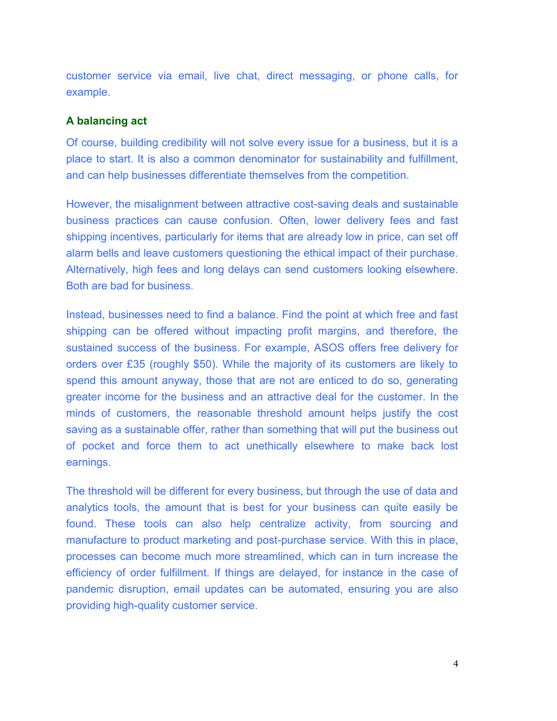customer service via email, live chat, direct messaging, or phone calls, for example.

## **A balancing act**

Of course, building credibility will not solve every issue for a business, but it is a place to start. It is also a common denominator for sustainability and fulfillment, and can help businesses differentiate themselves from the competition.

However, the misalignment between attractive cost-saving deals and sustainable business practices can cause confusion. Often, lower delivery fees and fast shipping incentives, particularly for items that are already low in price, can set off alarm bells and leave customers questioning the ethical impact of their purchase. Alternatively, high fees and long delays can send customers looking elsewhere. Both are bad for business.

Instead, businesses need to find a balance. Find the point at which free and fast shipping can be offered without impacting profit margins, and therefore, the sustained success of the business. For example, ASOS offers free delivery for orders over £35 (roughly \$50). While the majority of its customers are likely to spend this amount anyway, those that are not are enticed to do so, generating greater income for the business and an attractive deal for the customer. In the minds of customers, the reasonable threshold amount helps justify the cost saving as a sustainable offer, rather than something that will put the business out of pocket and force them to act unethically elsewhere to make back lost earnings.

The threshold will be different for every business, but through the use of data and analytics tools, the amount that is best for your business can quite easily be found. These tools can also help centralize activity, from sourcing and manufacture to product marketing and post-purchase service. With this in place, processes can become much more streamlined, which can in turn increase the efficiency of order fulfillment. If things are delayed, for instance in the case of pandemic disruption, email updates can be automated, ensuring you are also providing high-quality customer service.